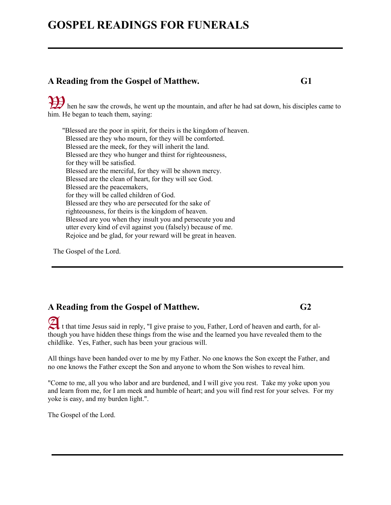# **GOSPEL READINGS FOR FUNERALS**

#### **A Reading from the Gospel of Matthew. G1**

then he saw the crowds, he went up the mountain, and after he had sat down, his disciples came to him. He began to teach them, saying:

"Blessed are the poor in spirit, for theirs is the kingdom of heaven. Blessed are they who mourn, for they will be comforted. Blessed are the meek, for they will inherit the land. Blessed are they who hunger and thirst for righteousness, for they will be satisfied. Blessed are the merciful, for they will be shown mercy. Blessed are the clean of heart, for they will see God. Blessed are the peacemakers, for they will be called children of God. Blessed are they who are persecuted for the sake of righteousness, for theirs is the kingdom of heaven. Blessed are you when they insult you and persecute you and utter every kind of evil against you (falsely) because of me. Rejoice and be glad, for your reward will be great in heaven.

The Gospel of the Lord.

#### **A Reading from the Gospel of Matthew. G2**

A It that time Jesus said in reply, "I give praise to you, Father, Lord of heaven and earth, for although you have hidden these things from the wise and the learned you have revealed them to the childlike. Yes, Father, such has been your gracious will.

All things have been handed over to me by my Father. No one knows the Son except the Father, and no one knows the Father except the Son and anyone to whom the Son wishes to reveal him.

"Come to me, all you who labor and are burdened, and I will give you rest. Take my yoke upon you and learn from me, for I am meek and humble of heart; and you will find rest for your selves. For my yoke is easy, and my burden light.".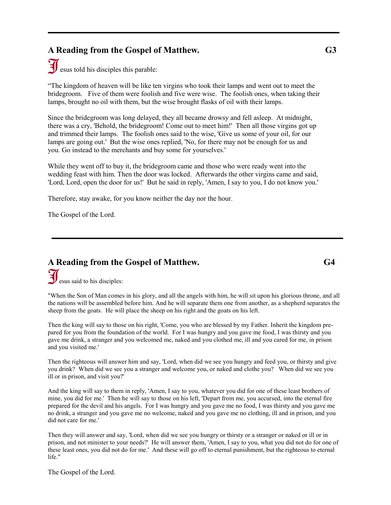## **A Reading from the Gospel of Matthew. G3**

 $\mathbf{\widetilde{J}}$  esus told his disciples this parable:

"The kingdom of heaven will be like ten virgins who took their lamps and went out to meet the bridegroom. Five of them were foolish and five were wise. The foolish ones, when taking their lamps, brought no oil with them, but the wise brought flasks of oil with their lamps.

Since the bridegroom was long delayed, they all became drowsy and fell asleep. At midnight, there was a cry, 'Behold, the bridegroom! Come out to meet him!' Then all those virgins got up and trimmed their lamps. The foolish ones said to the wise, 'Give us some of your oil, for our lamps are going out.' But the wise ones replied, 'No, for there may not be enough for us and you. Go instead to the merchants and buy some for yourselves.'

While they went off to buy it, the bridegroom came and those who were ready went into the wedding feast with him. Then the door was locked. Afterwards the other virgins came and said, 'Lord, Lord, open the door for us!' But he said in reply, 'Amen, I say to you, I do not know you.'

Therefore, stay awake, for you know neither the day nor the hour.

The Gospel of the Lord.

#### **A Reading from the Gospel of Matthew. G4** esus said to his disciples: J.

"When the Son of Man comes in his glory, and all the angels with him, he will sit upon his glorious throne, and all the nations will be assembled before him. And he will separate them one from another, as a shepherd separates the sheep from the goats. He will place the sheep on his right and the goats on his left.

Then the king will say to those on his right, 'Come, you who are blessed by my Father. Inherit the kingdom prepared for you from the foundation of the world. For I was hungry and you gave me food, I was thirsty and you gave me drink, a stranger and you welcomed me, naked and you clothed me, ill and you cared for me, in prison and you visited me.'

Then the righteous will answer him and say, 'Lord, when did we see you hungry and feed you, or thirsty and give you drink? When did we see you a stranger and welcome you, or naked and clothe you? When did we see you ill or in prison, and visit you?'

And the king will say to them in reply, 'Amen, I say to you, whatever you did for one of these least brothers of mine, you did for me.' Then he will say to those on his left, 'Depart from me, you accursed, into the eternal fire prepared for the devil and his angels. For I was hungry and you gave me no food, I was thirsty and you gave me no drink, a stranger and you gave me no welcome, naked and you gave me no clothing, ill and in prison, and you did not care for me.'

Then they will answer and say, 'Lord, when did we see you hungry or thirsty or a stranger or naked or ill or in prison, and not minister to your needs?' He will answer them, 'Amen, I say to you, what you did not do for one of these least ones, you did not do for me.' And these will go off to eternal punishment, but the righteous to eternal life."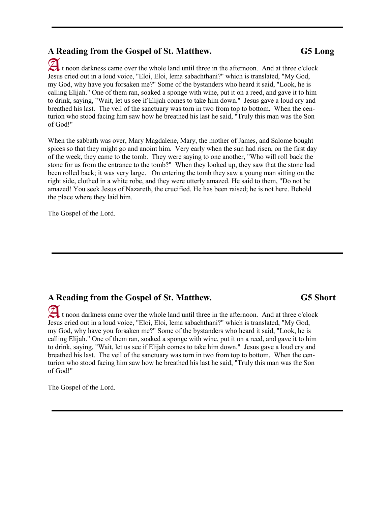#### **A Reading from the Gospel of St. Matthew. G5 Long**

 t noon darkness came over the whole land until three in the afternoon. And at three o'clock AJesus cried out in a loud voice, "Eloi, Eloi, lema sabachthani?" which is translated, "My God, my God, why have you forsaken me?" Some of the bystanders who heard it said, "Look, he is calling Elijah." One of them ran, soaked a sponge with wine, put it on a reed, and gave it to him to drink, saying, "Wait, let us see if Elijah comes to take him down." Jesus gave a loud cry and breathed his last. The veil of the sanctuary was torn in two from top to bottom. When the centurion who stood facing him saw how he breathed his last he said, "Truly this man was the Son of God!"

When the sabbath was over, Mary Magdalene, Mary, the mother of James, and Salome bought spices so that they might go and anoint him. Very early when the sun had risen, on the first day of the week, they came to the tomb. They were saying to one another, "Who will roll back the stone for us from the entrance to the tomb?" When they looked up, they saw that the stone had been rolled back; it was very large. On entering the tomb they saw a young man sitting on the right side, clothed in a white robe, and they were utterly amazed. He said to them, "Do not be amazed! You seek Jesus of Nazareth, the crucified. He has been raised; he is not here. Behold the place where they laid him.

The Gospel of the Lord.

## **A Reading from the Gospel of St. Matthew. G5 Short**

 t noon darkness came over the whole land until three in the afternoon. And at three o'clock A Jesus cried out in a loud voice, "Eloi, Eloi, lema sabachthani?" which is translated, "My God, my God, why have you forsaken me?" Some of the bystanders who heard it said, "Look, he is calling Elijah." One of them ran, soaked a sponge with wine, put it on a reed, and gave it to him to drink, saying, "Wait, let us see if Elijah comes to take him down." Jesus gave a loud cry and breathed his last. The veil of the sanctuary was torn in two from top to bottom. When the centurion who stood facing him saw how he breathed his last he said, "Truly this man was the Son of God!"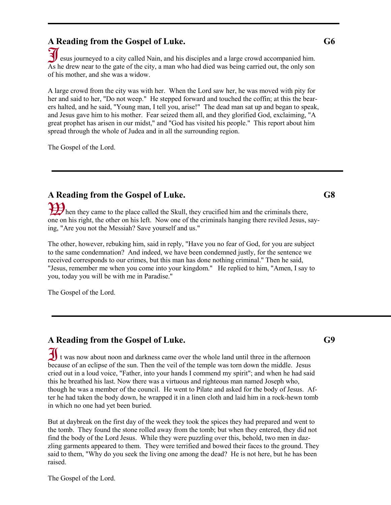## **A Reading from the Gospel of Luke. G6**

 esus journeyed to a city called Nain, and his disciples and a large crowd accompanied him. As he drew near to the gate of the city, a man who had died was being carried out, the only son of his mother, and she was a widow. J

A large crowd from the city was with her. When the Lord saw her, he was moved with pity for her and said to her, "Do not weep." He stepped forward and touched the coffin; at this the bearers halted, and he said, "Young man, I tell you, arise!" The dead man sat up and began to speak, and Jesus gave him to his mother. Fear seized them all, and they glorified God, exclaiming, "A great prophet has arisen in our midst," and "God has visited his people." This report about him spread through the whole of Judea and in all the surrounding region.

The Gospel of the Lord.

#### **A Reading from the Gospel of Luke. G8**

then they came to the place called the Skull, they crucified him and the criminals there, one on his right, the other on his left. Now one of the criminals hanging there reviled Jesus, saying, "Are you not the Messiah? Save yourself and us."

The other, however, rebuking him, said in reply, "Have you no fear of God, for you are subject to the same condemnation? And indeed, we have been condemned justly, for the sentence we received corresponds to our crimes, but this man has done nothing criminal." Then he said, "Jesus, remember me when you come into your kingdom." He replied to him, "Amen, I say to you, today you will be with me in Paradise."

The Gospel of the Lord.

#### **A Reading from the Gospel of Luke. G9**

 $\mathbf{\mathcal{J}}$  t was now about noon and darkness came over the whole land until three in the afternoon because of an eclipse of the sun. Then the veil of the temple was torn down the middle. Jesus cried out in a loud voice, "Father, into your hands I commend my spirit"; and when he had said this he breathed his last. Now there was a virtuous and righteous man named Joseph who, though he was a member of the council. He went to Pilate and asked for the body of Jesus. After he had taken the body down, he wrapped it in a linen cloth and laid him in a rock-hewn tomb in which no one had yet been buried.

But at daybreak on the first day of the week they took the spices they had prepared and went to the tomb. They found the stone rolled away from the tomb; but when they entered, they did not find the body of the Lord Jesus. While they were puzzling over this, behold, two men in dazzling garments appeared to them. They were terrified and bowed their faces to the ground. They said to them, "Why do you seek the living one among the dead? He is not here, but he has been raised.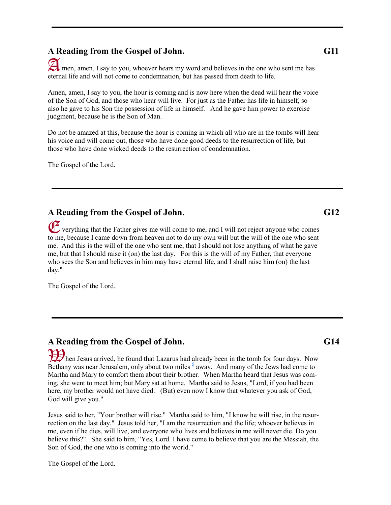#### **A Reading from the Gospel of John. G11**

 men, amen, I say to you, whoever hears my word and believes in the one who sent me has Aeternal life and will not come to condemnation, but has passed from death to life.

Amen, amen, I say to you, the hour is coming and is now here when the dead will hear the voice of the Son of God, and those who hear will live. For just as the Father has life in himself, so also he gave to his Son the possession of life in himself. And he gave him power to exercise judgment, because he is the Son of Man.

Do not be amazed at this, because the hour is coming in which all who are in the tombs will hear his voice and will come out, those who have done good deeds to the resurrection of life, but those who have done wicked deeds to the resurrection of condemnation.

The Gospel of the Lord.

#### **A Reading from the Gospel of John. G12**

 verything that the Father gives me will come to me, and I will not reject anyone who comes E to me, because I came down from heaven not to do my own will but the will of the one who sent me. And this is the will of the one who sent me, that I should not lose anything of what he gave me, but that I should raise it (on) the last day. For this is the will of my Father, that everyone who sees the Son and believes in him may have eternal life, and I shall raise him (on) the last day."

The Gospel of the Lord.

# **A Reading from the Gospel of John. G14**

Hen Jesus arrived, he found that Lazarus had already been in the tomb for four days. Now Bethany was near Jerusalem, only about two miles  $\frac{5}{2}$  $\frac{5}{2}$  $\frac{5}{2}$  away. And many of the Jews had come to Martha and Mary to comfort them about their brother. When Martha heard that Jesus was coming, she went to meet him; but Mary sat at home. Martha said to Jesus, "Lord, if you had been here, my brother would not have died. (But) even now I know that whatever you ask of God, God will give you."

Jesus said to her, "Your brother will rise." Martha said to him, "I know he will rise, in the resurrection on the last day." Jesus told her, "I am the resurrection and the life; whoever believes in me, even if he dies, will live, and everyone who lives and believes in me will never die. Do you believe this?" She said to him, "Yes, Lord. I have come to believe that you are the Messiah, the Son of God, the one who is coming into the world."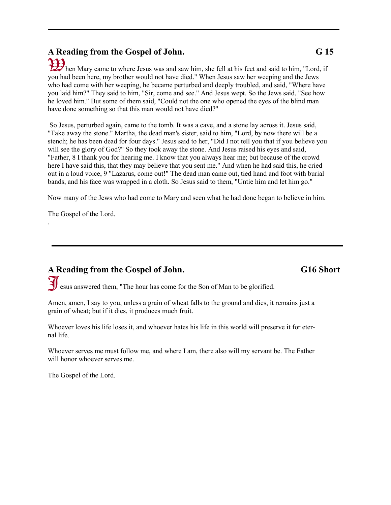# **A Reading from the Gospel of John. G 15**

hen Mary came to where Jesus was and saw him, she fell at his feet and said to him, "Lord, if you had been here, my brother would not have died." When Jesus saw her weeping and the Jews who had come with her weeping, he became perturbed and deeply troubled, and said, "Where have you laid him?" They said to him, "Sir, come and see." And Jesus wept. So the Jews said, "See how he loved him." But some of them said, "Could not the one who opened the eyes of the blind man have done something so that this man would not have died?"

So Jesus, perturbed again, came to the tomb. It was a cave, and a stone lay across it. Jesus said, "Take away the stone." Martha, the dead man's sister, said to him, "Lord, by now there will be a stench; he has been dead for four days." Jesus said to her, "Did I not tell you that if you believe you will see the glory of God?" So they took away the stone. And Jesus raised his eyes and said, "Father, 8 I thank you for hearing me. I know that you always hear me; but because of the crowd here I have said this, that they may believe that you sent me." And when he had said this, he cried out in a loud voice, 9 "Lazarus, come out!" The dead man came out, tied hand and foot with burial bands, and his face was wrapped in a cloth. So Jesus said to them, "Untie him and let him go."

Now many of the Jews who had come to Mary and seen what he had done began to believe in him.

The Gospel of the Lord.

.

#### **A Reading from the Gospel of John. G16 Short**

J esus answered them, "The hour has come for the Son of Man to be glorified.

Amen, amen, I say to you, unless a grain of wheat falls to the ground and dies, it remains just a grain of wheat; but if it dies, it produces much fruit.

Whoever loves his life loses it, and whoever hates his life in this world will preserve it for eternal life.

Whoever serves me must follow me, and where I am, there also will my servant be. The Father will honor whoever serves me.